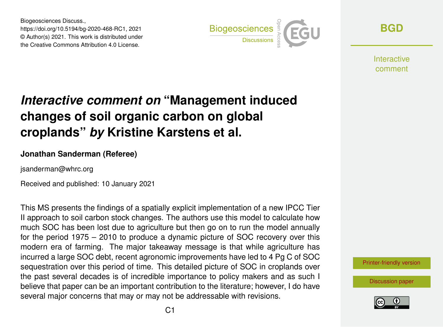Biogeosciences Discuss., https://doi.org/10.5194/bg-2020-468-RC1, 2021 © Author(s) 2021. This work is distributed under the Creative Commons Attribution 4.0 License.



**[BGD](https://bg.copernicus.org/preprints/)**

**Interactive** comment

## *Interactive comment on* **"Management induced changes of soil organic carbon on global croplands"** *by* **Kristine Karstens et al.**

## **Jonathan Sanderman (Referee)**

jsanderman@whrc.org

Received and published: 10 January 2021

This MS presents the findings of a spatially explicit implementation of a new IPCC Tier II approach to soil carbon stock changes. The authors use this model to calculate how much SOC has been lost due to agriculture but then go on to run the model annually for the period 1975 – 2010 to produce a dynamic picture of SOC recovery over this modern era of farming. The major takeaway message is that while agriculture has incurred a large SOC debt, recent agronomic improvements have led to 4 Pg C of SOC sequestration over this period of time. This detailed picture of SOC in croplands over the past several decades is of incredible importance to policy makers and as such I believe that paper can be an important contribution to the literature; however, I do have several major concerns that may or may not be addressable with revisions.

[Printer-friendly version](https://bg.copernicus.org/preprints/bg-2020-468/bg-2020-468-RC1-print.pdf)

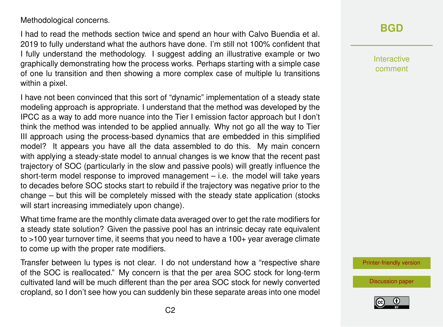## Methodological concerns.

I had to read the methods section twice and spend an hour with Calvo Buendia et al. 2019 to fully understand what the authors have done. I'm still not 100% confident that I fully understand the methodology. I suggest adding an illustrative example or two graphically demonstrating how the process works. Perhaps starting with a simple case of one lu transition and then showing a more complex case of multiple lu transitions within a pixel.

I have not been convinced that this sort of "dynamic" implementation of a steady state modeling approach is appropriate. I understand that the method was developed by the IPCC as a way to add more nuance into the Tier I emission factor approach but I don't think the method was intended to be applied annually. Why not go all the way to Tier III approach using the process-based dynamics that are embedded in this simplified model? It appears you have all the data assembled to do this. My main concern with applying a steady-state model to annual changes is we know that the recent past trajectory of SOC (particularly in the slow and passive pools) will greatly influence the short-term model response to improved management – i.e. the model will take years to decades before SOC stocks start to rebuild if the trajectory was negative prior to the change – but this will be completely missed with the steady state application (stocks will start increasing immediately upon change).

What time frame are the monthly climate data averaged over to get the rate modifiers for a steady state solution? Given the passive pool has an intrinsic decay rate equivalent to >100 year turnover time, it seems that you need to have a 100+ year average climate to come up with the proper rate modifiers.

Transfer between lu types is not clear. I do not understand how a "respective share of the SOC is reallocated." My concern is that the per area SOC stock for long-term cultivated land will be much different than the per area SOC stock for newly converted cropland, so I don't see how you can suddenly bin these separate areas into one model

## **[BGD](https://bg.copernicus.org/preprints/)**

Interactive comment

[Printer-friendly version](https://bg.copernicus.org/preprints/bg-2020-468/bg-2020-468-RC1-print.pdf)

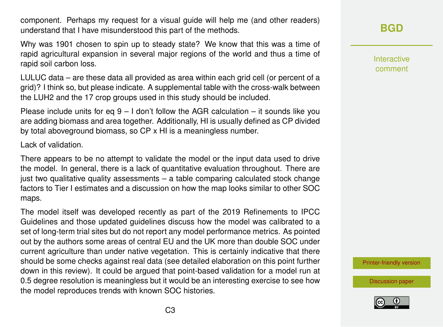component. Perhaps my request for a visual guide will help me (and other readers) understand that I have misunderstood this part of the methods.

Why was 1901 chosen to spin up to steady state? We know that this was a time of rapid agricultural expansion in several major regions of the world and thus a time of rapid soil carbon loss.

LULUC data – are these data all provided as area within each grid cell (or percent of a grid)? I think so, but please indicate. A supplemental table with the cross-walk between the LUH2 and the 17 crop groups used in this study should be included.

Please include units for eq  $9 - 1$  don't follow the AGR calculation – it sounds like you are adding biomass and area together. Additionally, HI is usually defined as CP divided by total aboveground biomass, so CP x HI is a meaningless number.

Lack of validation.

There appears to be no attempt to validate the model or the input data used to drive the model. In general, there is a lack of quantitative evaluation throughout. There are just two qualitative quality assessments – a table comparing calculated stock change factors to Tier I estimates and a discussion on how the map looks similar to other SOC maps.

The model itself was developed recently as part of the 2019 Refinements to IPCC Guidelines and those updated guidelines discuss how the model was calibrated to a set of long-term trial sites but do not report any model performance metrics. As pointed out by the authors some areas of central EU and the UK more than double SOC under current agriculture than under native vegetation. This is certainly indicative that there should be some checks against real data (see detailed elaboration on this point further down in this review). It could be argued that point-based validation for a model run at 0.5 degree resolution is meaningless but it would be an interesting exercise to see how the model reproduces trends with known SOC histories.

**[BGD](https://bg.copernicus.org/preprints/)**

Interactive comment

[Printer-friendly version](https://bg.copernicus.org/preprints/bg-2020-468/bg-2020-468-RC1-print.pdf)

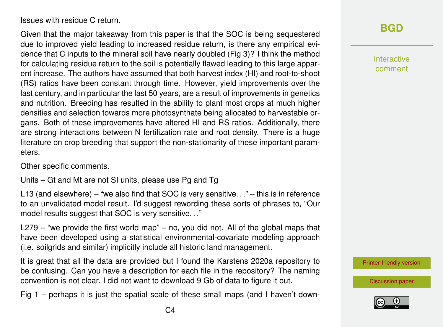Issues with residue C return.

Given that the major takeaway from this paper is that the SOC is being sequestered due to improved yield leading to increased residue return, is there any empirical evidence that C inputs to the mineral soil have nearly doubled (Fig 3)? I think the method for calculating residue return to the soil is potentially flawed leading to this large apparent increase. The authors have assumed that both harvest index (HI) and root-to-shoot (RS) ratios have been constant through time. However, yield improvements over the last century, and in particular the last 50 years, are a result of improvements in genetics and nutrition. Breeding has resulted in the ability to plant most crops at much higher densities and selection towards more photosynthate being allocated to harvestable organs. Both of these improvements have altered HI and RS ratios. Additionally, there are strong interactions between N fertilization rate and root density. There is a huge literature on crop breeding that support the non-stationarity of these important parameters.

Other specific comments.

Units – Gt and Mt are not SI units, please use Pg and Tg

L13 (and elsewhere) – "we also find that SOC is very sensitive. . ." – this is in reference to an unvalidated model result. I'd suggest rewording these sorts of phrases to, "Our model results suggest that SOC is very sensitive. . ."

L279 – "we provide the first world map" – no, you did not. All of the global maps that have been developed using a statistical environmental-covariate modeling approach (i.e. soilgrids and similar) implicitly include all historic land management.

It is great that all the data are provided but I found the Karstens 2020a repository to be confusing. Can you have a description for each file in the repository? The naming convention is not clear. I did not want to download 9 Gb of data to figure it out.

Fig 1 – perhaps it is just the spatial scale of these small maps (and I haven't down-

Interactive comment

[Printer-friendly version](https://bg.copernicus.org/preprints/bg-2020-468/bg-2020-468-RC1-print.pdf)

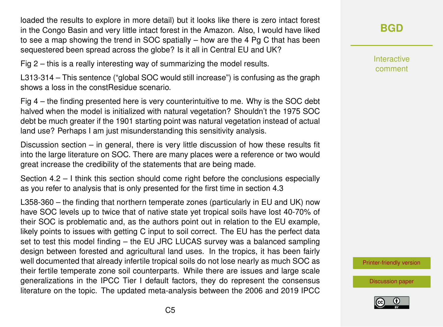loaded the results to explore in more detail) but it looks like there is zero intact forest in the Congo Basin and very little intact forest in the Amazon. Also, I would have liked to see a map showing the trend in SOC spatially – how are the 4 Pg C that has been sequestered been spread across the globe? Is it all in Central EU and UK?

Fig 2 – this is a really interesting way of summarizing the model results.

L313-314 – This sentence ("global SOC would still increase") is confusing as the graph shows a loss in the constResidue scenario.

Fig 4 – the finding presented here is very counterintuitive to me. Why is the SOC debt halved when the model is initialized with natural vegetation? Shouldn't the 1975 SOC debt be much greater if the 1901 starting point was natural vegetation instead of actual land use? Perhaps I am just misunderstanding this sensitivity analysis.

Discussion section – in general, there is very little discussion of how these results fit into the large literature on SOC. There are many places were a reference or two would great increase the credibility of the statements that are being made.

Section 4.2 – I think this section should come right before the conclusions especially as you refer to analysis that is only presented for the first time in section 4.3

L358-360 – the finding that northern temperate zones (particularly in EU and UK) now have SOC levels up to twice that of native state yet tropical soils have lost 40-70% of their SOC is problematic and, as the authors point out in relation to the EU example, likely points to issues with getting C input to soil correct. The EU has the perfect data set to test this model finding – the EU JRC LUCAS survey was a balanced sampling design between forested and agricultural land uses. In the tropics, it has been fairly well documented that already infertile tropical soils do not lose nearly as much SOC as their fertile temperate zone soil counterparts. While there are issues and large scale generalizations in the IPCC Tier I default factors, they do represent the consensus literature on the topic. The updated meta-analysis between the 2006 and 2019 IPCC **[BGD](https://bg.copernicus.org/preprints/)**

Interactive comment

[Printer-friendly version](https://bg.copernicus.org/preprints/bg-2020-468/bg-2020-468-RC1-print.pdf)